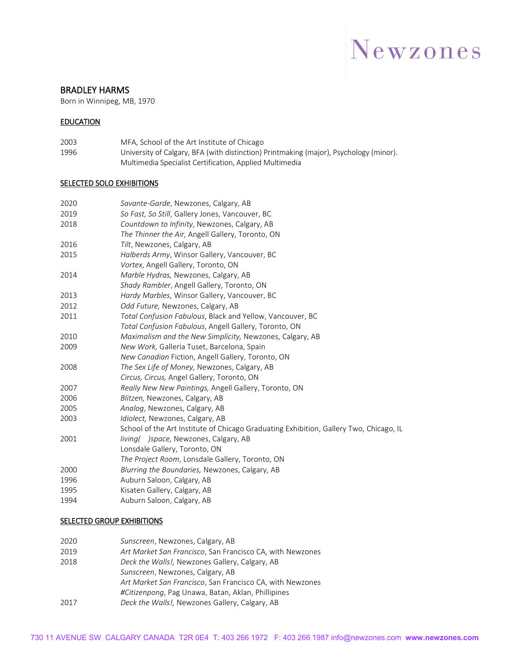## Newzones

#### BRADLEY HARMS

Born in Winnipeg, MB, 1970

#### EDUCATION

2003 MFA, School of the Art Institute of Chicago 1996 University of Calgary, BFA (with distinction) Printmaking (major), Psychology (minor). Multimedia Specialist Certification, Applied Multimedia

#### **SELECTED SOLO EXHIBITIONS**

| 2020 | Savante-Garde, Newzones, Calgary, AB                                                   |
|------|----------------------------------------------------------------------------------------|
| 2019 | So Fast, So Still, Gallery Jones, Vancouver, BC                                        |
| 2018 | Countdown to Infinity, Newzones, Calgary, AB                                           |
|      | The Thinner the Air, Angell Gallery, Toronto, ON                                       |
| 2016 | Tilt, Newzones, Calgary, AB                                                            |
| 2015 | Halberds Army, Winsor Gallery, Vancouver, BC                                           |
|      | Vortex, Angell Gallery, Toronto, ON                                                    |
| 2014 | Marble Hydras, Newzones, Calgary, AB                                                   |
|      | Shady Rambler, Angell Gallery, Toronto, ON                                             |
| 2013 | Hardy Marbles, Winsor Gallery, Vancouver, BC                                           |
| 2012 | Odd Future, Newzones, Calgary, AB                                                      |
| 2011 | Total Confusion Fabulous, Black and Yellow, Vancouver, BC                              |
|      | Total Confusion Fabulous, Angell Gallery, Toronto, ON                                  |
| 2010 | Maximalism and the New Simplicity, Newzones, Calgary, AB                               |
| 2009 | New Work, Galleria Tuset, Barcelona, Spain                                             |
|      | New Canadian Fiction, Angell Gallery, Toronto, ON                                      |
| 2008 | The Sex Life of Money, Newzones, Calgary, AB                                           |
|      | Circus, Circus, Angel Gallery, Toronto, ON                                             |
| 2007 | Really New New Paintings, Angell Gallery, Toronto, ON                                  |
| 2006 | Blitzen, Newzones, Calgary, AB                                                         |
| 2005 | Analog, Newzones, Calgary, AB                                                          |
| 2003 | Idiolect, Newzones, Calgary, AB                                                        |
|      | School of the Art Institute of Chicago Graduating Exhibition, Gallery Two, Chicago, IL |
| 2001 | living( )space, Newzones, Calgary, AB                                                  |
|      | Lonsdale Gallery, Toronto, ON                                                          |
|      | The Project Room, Lonsdale Gallery, Toronto, ON                                        |
| 2000 | Blurring the Boundaries, Newzones, Calgary, AB                                         |
| 1996 | Auburn Saloon, Calgary, AB                                                             |
| 1995 | Kisaten Gallery, Calgary, AB                                                           |
| 1994 | Auburn Saloon, Calgary, AB                                                             |

#### **SELECTED GROUP EXHIBITIONS**

| 2020 | Sunscreen, Newzones, Calgary, AB                          |
|------|-----------------------------------------------------------|
| 2019 | Art Market San Francisco, San Francisco CA, with Newzones |
| 2018 | Deck the Walls!, Newzones Gallery, Calgary, AB            |
|      | Sunscreen, Newzones, Calgary, AB                          |
|      | Art Market San Francisco, San Francisco CA, with Newzones |
|      | #Citizenpong, Pag Unawa, Batan, Aklan, Phillipines        |
| 2017 | Deck the Walls!, Newzones Gallery, Calgary, AB            |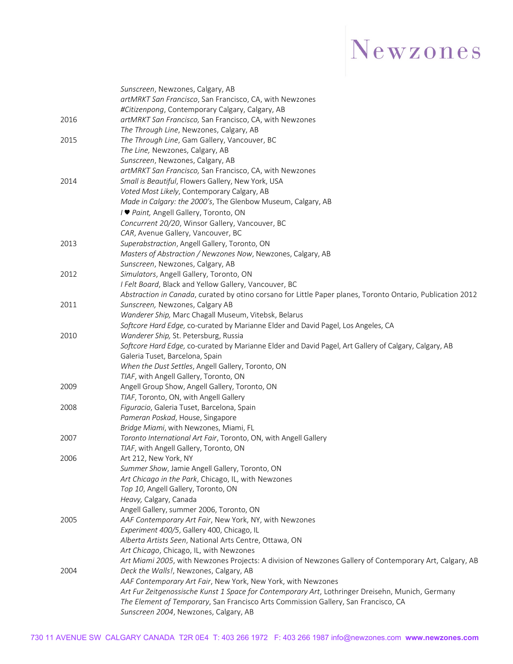# Newzones

|      | Sunscreen, Newzones, Calgary, AB                                                                           |
|------|------------------------------------------------------------------------------------------------------------|
|      | artMRKT San Francisco, San Francisco, CA, with Newzones                                                    |
|      | #Citizenpong, Contemporary Calgary, Calgary, AB                                                            |
| 2016 | artMRKT San Francisco, San Francisco, CA, with Newzones                                                    |
|      | The Through Line, Newzones, Calgary, AB                                                                    |
| 2015 | The Through Line, Gam Gallery, Vancouver, BC                                                               |
|      | The Line, Newzones, Calgary, AB                                                                            |
|      | Sunscreen, Newzones, Calgary, AB                                                                           |
|      | artMRKT San Francisco, San Francisco, CA, with Newzones                                                    |
| 2014 | Small is Beautiful, Flowers Gallery, New York, USA                                                         |
|      | Voted Most Likely, Contemporary Calgary, AB                                                                |
|      | Made in Calgary: the 2000's, The Glenbow Museum, Calgary, AB                                               |
|      | / ♥ Paint, Angell Gallery, Toronto, ON                                                                     |
|      | Concurrent 20/20, Winsor Gallery, Vancouver, BC                                                            |
|      | CAR, Avenue Gallery, Vancouver, BC                                                                         |
| 2013 | Superabstraction, Angell Gallery, Toronto, ON                                                              |
|      | Masters of Abstraction / Newzones Now, Newzones, Calgary, AB                                               |
|      | Sunscreen, Newzones, Calgary, AB                                                                           |
| 2012 | Simulators, Angell Gallery, Toronto, ON                                                                    |
|      | I Felt Board, Black and Yellow Gallery, Vancouver, BC                                                      |
|      | Abstraction in Canada, curated by otino corsano for Little Paper planes, Toronto Ontario, Publication 2012 |
| 2011 | Sunscreen, Newzones, Calgary AB                                                                            |
|      | Wanderer Ship, Marc Chagall Museum, Vitebsk, Belarus                                                       |
|      | Softcore Hard Edge, co-curated by Marianne Elder and David Pagel, Los Angeles, CA                          |
| 2010 | Wanderer Ship, St. Petersburg, Russia                                                                      |
|      | Softcore Hard Edge, co-curated by Marianne Elder and David Pagel, Art Gallery of Calgary, Calgary, AB      |
|      | Galeria Tuset, Barcelona, Spain                                                                            |
|      | When the Dust Settles, Angell Gallery, Toronto, ON                                                         |
|      | TIAF, with Angell Gallery, Toronto, ON                                                                     |
| 2009 | Angell Group Show, Angell Gallery, Toronto, ON                                                             |
|      | TIAF, Toronto, ON, with Angell Gallery                                                                     |
| 2008 | Figuracio, Galeria Tuset, Barcelona, Spain                                                                 |
|      | Pameran Poskad, House, Singapore                                                                           |
|      | Bridge Miami, with Newzones, Miami, FL                                                                     |
| 2007 | Toronto International Art Fair, Toronto, ON, with Angell Gallery                                           |
|      | TIAF, with Angell Gallery, Toronto, ON                                                                     |
| 2006 | Art 212, New York, NY<br>Summer Show, Jamie Angell Gallery, Toronto, ON                                    |
|      | Art Chicago in the Park, Chicago, IL, with Newzones                                                        |
|      | Top 10, Angell Gallery, Toronto, ON                                                                        |
|      | Heavy, Calgary, Canada                                                                                     |
|      | Angell Gallery, summer 2006, Toronto, ON                                                                   |
| 2005 | AAF Contemporary Art Fair, New York, NY, with Newzones                                                     |
|      | Experiment 400/5, Gallery 400, Chicago, IL                                                                 |
|      | Alberta Artists Seen, National Arts Centre, Ottawa, ON                                                     |
|      | Art Chicago, Chicago, IL, with Newzones                                                                    |
|      | Art Miami 2005, with Newzones Projects: A division of Newzones Gallery of Contemporary Art, Calgary, AB    |
| 2004 | Deck the Walls!, Newzones, Calgary, AB                                                                     |
|      | AAF Contemporary Art Fair, New York, New York, with Newzones                                               |
|      | Art Fur Zeitgenossische Kunst 1 Space for Contemporary Art, Lothringer Dreisehn, Munich, Germany           |
|      | The Element of Temporary, San Francisco Arts Commission Gallery, San Francisco, CA                         |
|      | Sunscreen 2004, Newzones, Calgary, AB                                                                      |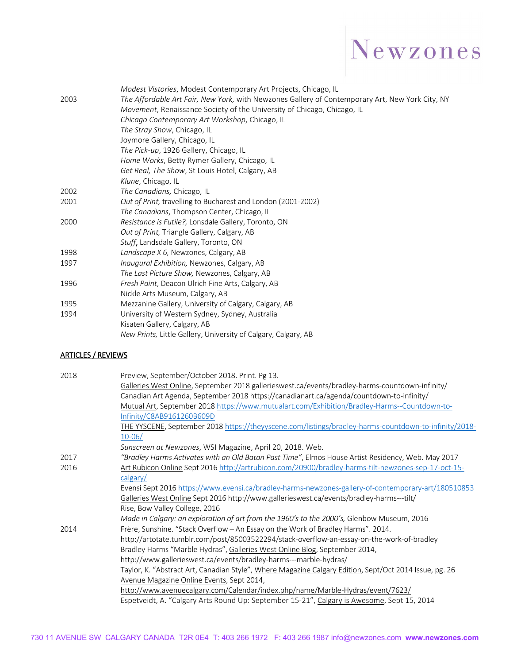

|      | Modest Vistories, Modest Contemporary Art Projects, Chicago, IL                                 |
|------|-------------------------------------------------------------------------------------------------|
| 2003 | The Affordable Art Fair, New York, with Newzones Gallery of Contemporary Art, New York City, NY |
|      | Movement, Renaissance Society of the University of Chicago, Chicago, IL                         |
|      | Chicago Contemporary Art Workshop, Chicago, IL                                                  |
|      | The Stray Show, Chicago, IL                                                                     |
|      | Joymore Gallery, Chicago, IL                                                                    |
|      | The Pick-up, 1926 Gallery, Chicago, IL                                                          |
|      | Home Works, Betty Rymer Gallery, Chicago, IL                                                    |
|      | Get Real, The Show, St Louis Hotel, Calgary, AB                                                 |
|      | Klune, Chicago, IL                                                                              |
| 2002 | The Canadians, Chicago, IL                                                                      |
| 2001 | Out of Print, travelling to Bucharest and London (2001-2002)                                    |
|      | The Canadians, Thompson Center, Chicago, IL                                                     |
| 2000 | Resistance is Futile?, Lonsdale Gallery, Toronto, ON                                            |
|      | Out of Print, Triangle Gallery, Calgary, AB                                                     |
|      | Stuff, Landsdale Gallery, Toronto, ON                                                           |
| 1998 | Landscape X 6, Newzones, Calgary, AB                                                            |
| 1997 | Inaugural Exhibition, Newzones, Calgary, AB                                                     |
|      | The Last Picture Show, Newzones, Calgary, AB                                                    |
| 1996 | Fresh Paint, Deacon Ulrich Fine Arts, Calgary, AB                                               |
|      | Nickle Arts Museum, Calgary, AB                                                                 |
| 1995 | Mezzanine Gallery, University of Calgary, Calgary, AB                                           |
| 1994 | University of Western Sydney, Sydney, Australia                                                 |
|      | Kisaten Gallery, Calgary, AB                                                                    |
|      | New Prints, Little Gallery, University of Calgary, Calgary, AB                                  |

#### ARTICLES / REVIEWS

| 2018 | Preview, September/October 2018. Print. Pg 13.                                                         |
|------|--------------------------------------------------------------------------------------------------------|
|      | Galleries West Online, September 2018 gallerieswest.ca/events/bradley-harms-countdown-infinity/        |
|      | Canadian Art Agenda, September 2018 https://canadianart.ca/agenda/countdown-to-infinity/               |
|      | Mutual Art, September 2018 https://www.mutualart.com/Exhibition/Bradley-Harms--Countdown-to-           |
|      | Infinity/C8AB9161260B609D                                                                              |
|      | THE YYSCENE, September 2018 https://theyyscene.com/listings/bradley-harms-countdown-to-infinity/2018-  |
|      | $10 - 06/$                                                                                             |
|      | Sunscreen at Newzones, WSI Magazine, April 20, 2018. Web.                                              |
| 2017 | "Bradley Harms Activates with an Old Batan Past Time", Elmos House Artist Residency, Web. May 2017     |
| 2016 | Art Rubicon Online Sept 2016 http://artrubicon.com/20900/bradley-harms-tilt-newzones-sep-17-oct-15-    |
|      | calgary/                                                                                               |
|      | Evensi Sept 2016 https://www.evensi.ca/bradley-harms-newzones-gallery-of-contemporary-art/180510853    |
|      | Galleries West Online Sept 2016 http://www.gallerieswest.ca/events/bradley-harms---tilt/               |
|      | Rise, Bow Valley College, 2016                                                                         |
|      | Made in Calgary: an exploration of art from the 1960's to the 2000's, Glenbow Museum, 2016             |
| 2014 | Frère, Sunshine. "Stack Overflow - An Essay on the Work of Bradley Harms". 2014.                       |
|      | http://artotate.tumblr.com/post/85003522294/stack-overflow-an-essay-on-the-work-of-bradley             |
|      | Bradley Harms "Marble Hydras", Galleries West Online Blog, September 2014,                             |
|      | http://www.gallerieswest.ca/events/bradley-harms---marble-hydras/                                      |
|      | Taylor, K. "Abstract Art, Canadian Style", Where Magazine Calgary Edition, Sept/Oct 2014 Issue, pg. 26 |
|      | Avenue Magazine Online Events, Sept 2014,                                                              |
|      | http://www.avenuecalgary.com/Calendar/index.php/name/Marble-Hydras/event/7623/                         |
|      | Espetveidt, A. "Calgary Arts Round Up: September 15-21", Calgary is Awesome, Sept 15, 2014             |
|      |                                                                                                        |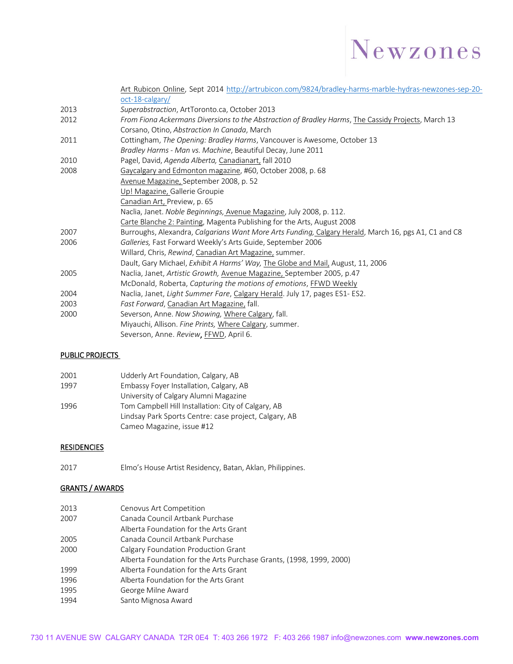

|      | Art Rubicon Online, Sept 2014 http://artrubicon.com/9824/bradley-harms-marble-hydras-newzones-sep-20- |
|------|-------------------------------------------------------------------------------------------------------|
|      | $oct-18$ -calgary/                                                                                    |
| 2013 | Superabstraction, ArtToronto.ca, October 2013                                                         |
| 2012 | From Fiona Ackermans Diversions to the Abstraction of Bradley Harms, The Cassidy Projects, March 13   |
|      | Corsano, Otino, Abstraction In Canada, March                                                          |
| 2011 | Cottingham, The Opening: Bradley Harms, Vancouver is Awesome, October 13                              |
|      | Bradley Harms - Man vs. Machine, Beautiful Decay, June 2011                                           |
| 2010 | Pagel, David, Agenda Alberta, Canadianart, fall 2010                                                  |
| 2008 | Gaycalgary and Edmonton magazine, #60, October 2008, p. 68                                            |
|      | Avenue Magazine, September 2008, p. 52                                                                |
|      | Up! Magazine, Gallerie Groupie                                                                        |
|      | Canadian Art, Preview, p. 65                                                                          |
|      | Naclia, Janet. Noble Beginnings, Avenue Magazine, July 2008, p. 112.                                  |
|      | Carte Blanche 2: Painting, Magenta Publishing for the Arts, August 2008                               |
| 2007 | Burroughs, Alexandra, Calgarians Want More Arts Funding, Calgary Herald, March 16, pgs A1, C1 and C8  |
| 2006 | Galleries, Fast Forward Weekly's Arts Guide, September 2006                                           |
|      | Willard, Chris, Rewind, Canadian Art Magazine, summer.                                                |
|      | Dault, Gary Michael, Exhibit A Harms' Way, The Globe and Mail, August, 11, 2006                       |
| 2005 | Naclia, Janet, Artistic Growth, Avenue Magazine, September 2005, p.47                                 |
|      | McDonald, Roberta, Capturing the motions of emotions, FFWD Weekly                                     |
| 2004 | Naclia, Janet, Light Summer Fare, Calgary Herald. July 17, pages ES1- ES2.                            |
| 2003 | Fast Forward, Canadian Art Magazine, fall.                                                            |
| 2000 | Severson, Anne. Now Showing, Where Calgary, fall.                                                     |
|      | Miyauchi, Allison. Fine Prints, Where Calgary, summer.                                                |
|      | Severson, Anne. Review, FFWD, April 6.                                                                |

#### PUBLIC PROJECTS

| 2001 | Udderly Art Foundation, Calgary, AB                   |
|------|-------------------------------------------------------|
| 1997 | Embassy Foyer Installation, Calgary, AB               |
|      | University of Calgary Alumni Magazine                 |
| 1996 | Tom Campbell Hill Installation: City of Calgary, AB   |
|      | Lindsay Park Sports Centre: case project, Calgary, AB |
|      | Cameo Magazine, issue #12                             |

#### **RESIDENCIES**

2017 Elmo's House Artist Residency, Batan, Aklan, Philippines.

#### GRANTS / AWARDS

| 2013 | Cenovus Art Competition                                             |
|------|---------------------------------------------------------------------|
| 2007 | Canada Council Artbank Purchase                                     |
|      | Alberta Foundation for the Arts Grant                               |
| 2005 | Canada Council Artbank Purchase                                     |
| 2000 | Calgary Foundation Production Grant                                 |
|      | Alberta Foundation for the Arts Purchase Grants, (1998, 1999, 2000) |
| 1999 | Alberta Foundation for the Arts Grant                               |
| 1996 | Alberta Foundation for the Arts Grant                               |
| 1995 | George Milne Award                                                  |
| 1994 | Santo Mignosa Award                                                 |